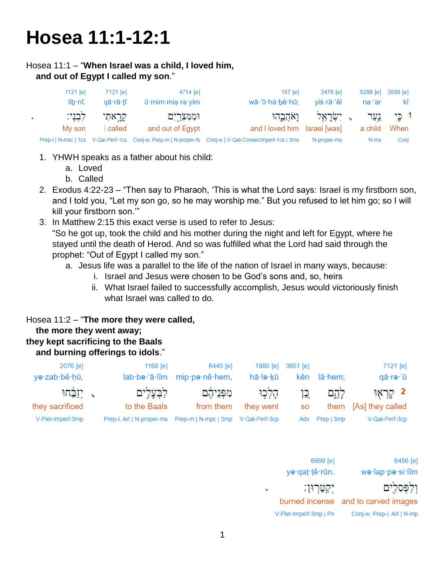# **Hosea 11:1-12:1**

#### Hosea 11:1 – "**When Israel was a child, I loved him, and out of Egypt I called my son**."

| 1121 $[e]$ | 7121 [e] | 4714 [e]              | $157$ $\text{[el]}$                                                                                    | 3478 [e]                              |                     | 5288 [e] 3588 [e] |
|------------|----------|-----------------------|--------------------------------------------------------------------------------------------------------|---------------------------------------|---------------------|-------------------|
| lib:nî.    | aā rā tî | ū mim mis ra vim      | wā·'ō·hă·bê·hū;                                                                                        | yiś·rā·'êl                            | na <sup>.</sup> 'ar | kî                |
| לִבְנֵי:   | קראתי    | וּמִמְצ <u>ִר</u> יִם |                                                                                                        | ו כֵּי נַעֲר , יִשְׂרָאֵל וַאֹהֲבֶהוּ |                     |                   |
| Mv son     | I called | and out of Egypt      | and I loved him Israel [was]                                                                           |                                       | a child             | When              |
|            |          |                       | Prep-I   N-msc   1cs V-Qal-Perf-1cs Conj-w, Prep-m   N-proper-fs Conj-w   V-Qal-ConsecImperf-1cs   3ms | N-proper-ms                           | N-ms                | Conj              |

- 1. YHWH speaks as a father about his child:
	- a. Loved
	- b. Called
- 2. Exodus 4:22-23 "Then say to Pharaoh, 'This is what the Lord says: Israel is my firstborn son, and I told you, "Let my son go, so he may worship me." But you refused to let him go; so I will kill your firstborn son.'"
- 3. In Matthew 2:15 this exact verse is used to refer to Jesus: "So he got up, took the child and his mother during the night and left for Egypt, where he stayed until the death of Herod. And so was fulfilled what the Lord had said through the prophet: "Out of Egypt I called my son."
	- a. Jesus life was a parallel to the life of the nation of Israel in many ways, because:
		- i. Israel and Jesus were chosen to be God's sons and, so, heirs
		- ii. What Israel failed to successfully accomplish, Jesus would victoriously finish what Israel was called to do.

# Hosea 11:2 – "**The more they were called, the more they went away; they kept sacrificing to the Baals and burning offerings to idols**."

| 2076 [e]<br>yə·zab·bê·ḥū,        | 1168 $[e]$<br>lab·bə·'ā·lîm                                         | 6440 [e]<br>mip-pa-nê-hem, | 1980 [e]<br>hā·lə·kū | 3651 [e]<br>kên | lā·hem:        | 7121 [e]<br>qā·rə·'ū       |
|----------------------------------|---------------------------------------------------------------------|----------------------------|----------------------|-----------------|----------------|----------------------------|
| ַ, יְזַבֵּחוּ<br>they sacrificed | לבעלים<br>to the Baals                                              | מפניהם<br>from them        | הלכו<br>they went    | ⊊ו<br><b>SO</b> | לְהֶם<br>them  | 2 קראו<br>[As] they called |
| V-Piel-Imperf-3mp                | Prep-I, Art   N-proper-ms    Prep-m   N-mpc   3mp    V-Qal-Perf-3cp |                            |                      |                 | Adv Prep   3mp | V-Qal-Perf-3cp             |

| 6456 [e]                            | 6999 [e]               |  |
|-------------------------------------|------------------------|--|
| wə·lap·pə·si·lîm                    | yə·qat·tê·rūn.         |  |
| וַלַפְּסְלִים                       | יִקַטֶּרְוּן:          |  |
| burned incense and to carved images |                        |  |
| Conj-w, Prep-I, Art   N-mp          | V-Piel-Imperf-3mp   Pn |  |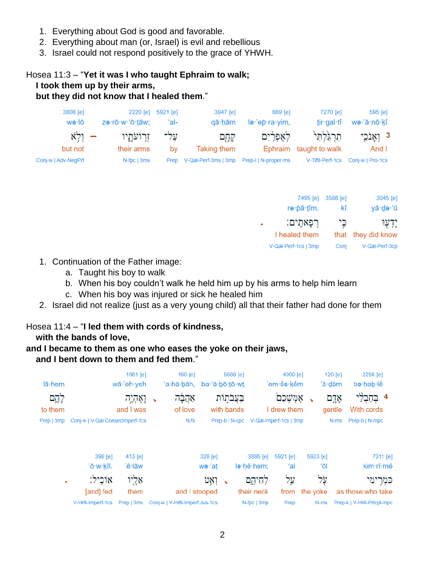- 1. Everything about God is good and favorable.
- 2. Everything about man (or, Israel) is evil and rebellious
- 3. Israel could not respond positively to the grace of YHWH.

# Hosea 11:3 – "**Yet it was I who taught Ephraim to walk; I took them up by their arms, but they did not know that I healed them**."

| 3808 [e]            | zə·rō·w·'ō·tāw; | 2220 [e] 5921 [e] | 3947 [e]             | 669 [e]              | 7270 [e]               | 595 [e]                           |
|---------------------|-----------------|-------------------|----------------------|----------------------|------------------------|-----------------------------------|
| wə∙lō               |                 | ʻal-              | qā hām               | le·'ep·ra·yim,       | tir·gal·tî             | wə·'ā·nō·kî                       |
| ר ולא               | זרועתיו         | על־               | קְחָם                | לאפרים               | תרגלהי                 | 3 וְאֲוֹכֵי                       |
| but not             | their arms      | bv                | Taking them          |                      | Ephraim taught to walk | And I                             |
| Conj-w   Adv-NegPrt | $N$ -fpc $ 3ms$ | Prep              | V-Qal-Perf-3ms   3mp | Prep-I   N-proper-ms |                        | V-Tiftl-Perf-1cs Conj-w   Pro-1cs |

| 7495 [e] 3588 [e]    |      | 3045 [e]           |
|----------------------|------|--------------------|
| rə·pā·tîm.           | kî   | yā·de·'ū           |
| רִפַּאתֵים:          | כֵי  | יַדְעִוּ           |
| I healed them        |      | that they did know |
| V-Qal-Perf-1cs   3mp | Conj | V-Qal-Perf-3cp     |

- 1. Continuation of the Father image:
	- a. Taught his boy to walk
	- b. When his boy couldn't walk he held him up by his arms to help him learn
	- c. When his boy was injured or sick he healed him
- 2. Israel did not realize (just as a very young child) all that their father had done for them

# Hosea 11:4 – "**I led them with cords of kindness,**

 **with the bands of love,**

# **and I became to them as one who eases the yoke on their jaws,**

# **and I bent down to them and fed them**."

| lā·hem           |                                 | 1961 [e]<br>wā·'eh·yeh |                          | $160$ [e]<br>'a∙hă∙bāh,         | ba·'ă·bō· <u>t</u> ō·w <u>t</u> |                          | 5688 [e]                   |             | 4900 [e]<br>'em∙še∙kêm                |          | 120 [e]<br>'ā·dām |       | 2256 [e]<br>be hab lê       |
|------------------|---------------------------------|------------------------|--------------------------|---------------------------------|---------------------------------|--------------------------|----------------------------|-------------|---------------------------------------|----------|-------------------|-------|-----------------------------|
| לֶהֶם<br>to them |                                 | וְאֶהְיֶה<br>and I was | $\overline{\phantom{0}}$ | אֲהֲבָה<br>of love              |                                 |                          | בַּעֲבֹתִוֹת<br>with bands |             | אמשכם<br>I drew them                  |          | gentle            | אָדֶם | 4<br>With cords             |
| Prep   3mp       | Conj-w   V-Qal-ConsecImperf-1cs |                        |                          | $N-fs$                          |                                 |                          |                            |             | Prep-b   N-cpc V-Qal-Imperf-1cs   3mp |          |                   | N-ms  | Prep-b   N-mpc              |
|                  | 398 [e]                         | 413 [e]                |                          |                                 | 328 [e]                         |                          |                            | 3895 [e]    | 5921 [e]                              |          | 5923 [e]          |       | 7311 [e]                    |
|                  | 'ō∙w∙kîl.                       | 'ê∙lāw                 |                          |                                 | we∙'at                          |                          |                            | le·hê·hem;  | ʻal                                   |          | ʻōl               |       | kim·rî·mê                   |
| ٠                | אוֹכֵיל:                        | אֵלֻיו                 |                          |                                 | ואַט                            | $\overline{\phantom{a}}$ |                            | לחיהם       | עֲל                                   |          | על                |       | כִּמְרִימֵי                 |
|                  | [and] fed                       | them                   |                          | and I stooped                   |                                 |                          |                            | their neck  | from                                  | the voke |                   |       | as those who take           |
|                  | V-Hifil-Imperf-1cs              | Prep   3ms             |                          | Conj-w   V-Hifil-Imperf.Jus-1cs |                                 |                          |                            | N-fpc   3mp | Prep                                  |          | N-ms              |       | Prep-k   V-Hifil-Prtcpl-mpc |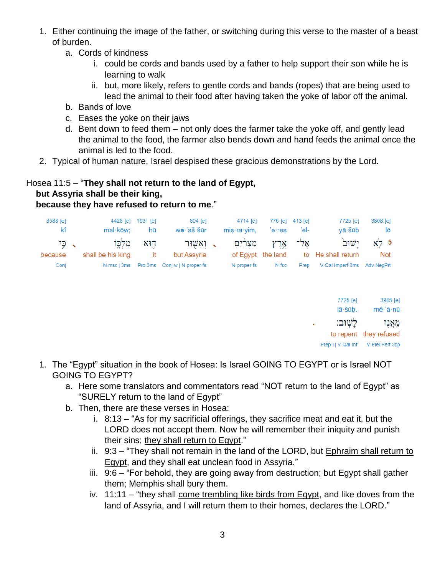- 1. Either continuing the image of the father, or switching during this verse to the master of a beast of burden.
	- a. Cords of kindness
		- i. could be cords and bands used by a father to help support their son while he is learning to walk
		- ii. but, more likely, refers to gentle cords and bands (ropes) that are being used to lead the animal to their food after having taken the yoke of labor off the animal.
	- b. Bands of love
	- c. Eases the yoke on their jaws
	- d. Bent down to feed them not only does the farmer take the yoke off, and gently lead the animal to the food, the farmer also bends down and hand feeds the animal once the animal is led to the food.
- 2. Typical of human nature, Israel despised these gracious demonstrations by the Lord.

# Hosea 11:5 – "**They shall not return to the land of Egypt, but Assyria shall be their king,**

# **because they have refused to return to me**."

| 3588 [e] |                                                                          | 4428 [e] 1931 [e] | 804 [e]     | 4714 [e]       | 776 [e] 413 [e] |                                                                                                                                                                                                                                       | 7725 [e]                             | 3808 [e]   |
|----------|--------------------------------------------------------------------------|-------------------|-------------|----------------|-----------------|---------------------------------------------------------------------------------------------------------------------------------------------------------------------------------------------------------------------------------------|--------------------------------------|------------|
| kî       | mal·kōw: hū                                                              |                   | wə·'aš·šūr  | $mis·ra·yim$ , | 'e∙res          | <u>ial</u> del control de la contrada de la contrada de la contrada de la contrada de la contrada de la contrada de<br>Altre de la contrada de la contrada de la contrada de la contrada de la contrada de la contrada de la contrada | vā∙šūb                               | lō         |
|          | ישוב אַל־ אֵרֵץ מִצְרַיִם , וְאַשְׁוּר הָוֹא מַלְכֶּוֹ , כֵּי F , כֵּי s |                   |             |                |                 |                                                                                                                                                                                                                                       |                                      |            |
| because  | shall be his king shit                                                   |                   | but Assvria |                |                 |                                                                                                                                                                                                                                       | of Egypt the land to He shall return | <b>Not</b> |
| Conj     |                                                                          |                   |             | N-proper-fs    | N-fsc           | Prep                                                                                                                                                                                                                                  | V-Qal-Imperf-3ms Adv-NegPrt          |            |

7725 [e] 3985 [e] lā·šūb. mê·'ă·nū לַשְׁוּב: מאנו to repent they refused Prep-I | V-Qal-Inf V-Piel-Perf-3cp

- 1. The "Egypt" situation in the book of Hosea: Is Israel GOING TO EGYPT or is Israel NOT GOING TO EGYPT?
	- a. Here some translators and commentators read "NOT return to the land of Egypt" as "SURELY return to the land of Egypt"
	- b. Then, there are these verses in Hosea:
		- i. 8:13 "As for my sacrificial offerings, they sacrifice meat and eat it, but the LORD does not accept them. Now he will remember their iniquity and punish their sins; they shall return to Egypt."
		- ii.  $9:3$  "They shall not remain in the land of the LORD, but Ephraim shall return to Egypt, and they shall eat unclean food in Assyria."
		- iii. 9:6 "For behold, they are going away from destruction; but Egypt shall gather them; Memphis shall bury them.
		- iv. 11:11 "they shall come trembling like birds from Egypt, and like doves from the land of Assyria, and I will return them to their homes, declares the LORD."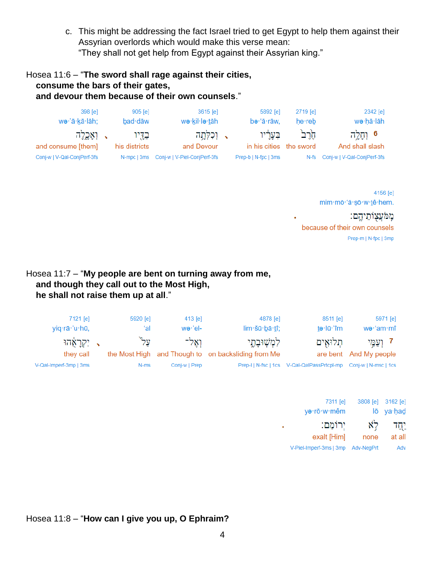c. This might be addressing the fact Israel tried to get Egypt to help them against their Assyrian overlords which would make this verse mean: "They shall not get help from Egypt against their Assyrian king."

# Hosea 11:6 – "**The sword shall rage against their cities, consume the bars of their gates, and devour them because of their own counsels**."

| 398 [e]                     | $905$ [e]     | $3615$ [e]                               | 5892 [e]                | 2719 lel | 2342 [e]                         |
|-----------------------------|---------------|------------------------------------------|-------------------------|----------|----------------------------------|
| wə·'ā·kā·lāh;               | bad·dāw       | wə·kil·lə· <u>t</u> āh                   | bə·'ā·rāw.              | $he$ reb | wə∙hā∙lāh                        |
| ּי וְאָכֶלְה                | בדיו          | √ וִכִלְחֲה                              | בעריו                   | הרב      | 6 וְחַלֵּה                       |
| and consume [them]          | his districts | and Devour                               | in his cities the sword |          | And shall slash                  |
| Conj-w   V-Qal-ConjPerf-3fs |               | N-mpc   3ms Conj-w   V-Piel-ConjPerf-3fs | Prep-b   N-fpc   3ms    |          | N-fs Conj-w   V-Qal-ConjPerf-3fs |

4156 [e] mim·mō·'ă·șō·w·tê·hem.

מֱמֹעֲצְוֹתֵיהֱם: because of their own counsels Prep-m | N-fpc | 3mp

Hosea 11:7 – "**My people are bent on turning away from me, and though they call out to the Most High, he shall not raise them up at all**."

| 7121 [e]                                             | 5920 [e]    | 413 [e]               | 4878 [e]                                                             | 8511 [e]                                                                   | 5971 [e]                            |
|------------------------------------------------------|-------------|-----------------------|----------------------------------------------------------------------|----------------------------------------------------------------------------|-------------------------------------|
| yiq·rā·'u·hū,                                        | ʻal         | $w$ ə·'el-            | lim·šū·bā·tî;                                                        | $t$ ə·lū·'îm                                                               | wə∙ʻam∙mî                           |
| ַ יִקְרָאָהוּ<br>they call<br>V-Qal-Imperf-3mp   3ms | "על<br>N-ms | ואל־<br>Conj-w   Prep | לִמְשָׁוּבָתֶי<br>the Most High and Though to on backsliding from Me | תלואים<br>Prep-I   N-fsc   1cs V-Qal-QalPassPrtcpl-mp Conj-w   N-msc   1cs | 7 וְעֲמֵי<br>are bent And My people |

| 3808 [e] 3162 [e] |            | 7311 [e]                 |
|-------------------|------------|--------------------------|
| lō ya·had         |            | ya·rō·w·mêm              |
| יחד.<br>at all    | לא<br>none | יִרוֹמֵם:<br>exalt [Him] |
| Adv               | Adv-NegPrt | V-Piel-Imperf-3ms   3mp  |
|                   |            |                          |

Hosea 11:8 – "**How can I give you up, O Ephraim?**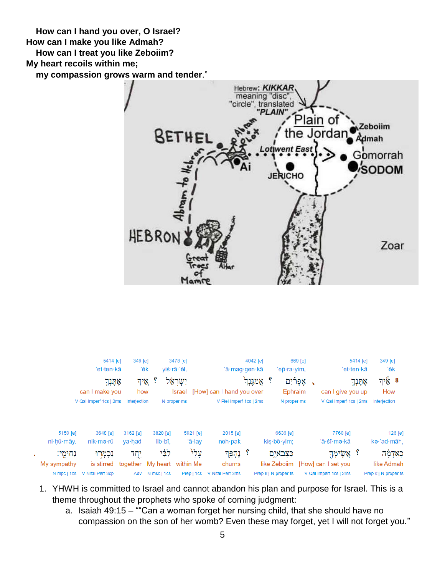**How can I hand you over, O Israel? How can I make you like Admah? How can I treat you like Zeboiim? My heart recoils within me;**

 **my compassion grows warm and tender**."





- 1. YHWH is committed to Israel and cannot abandon his plan and purpose for Israel. This is a theme throughout the prophets who spoke of coming judgment:
	- a. Isaiah 49:15 ""Can a woman forget her nursing child, that she should have no compassion on the son of her womb? Even these may forget, yet I will not forget you."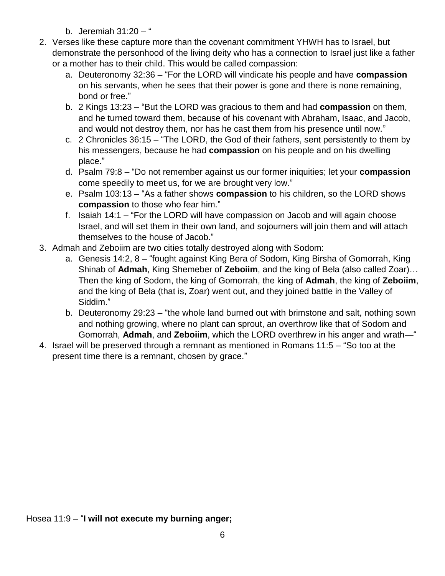- b. Jeremiah 31:20 "
- 2. Verses like these capture more than the covenant commitment YHWH has to Israel, but demonstrate the personhood of the living deity who has a connection to Israel just like a father or a mother has to their child. This would be called compassion:
	- a. Deuteronomy 32:36 "For the LORD will vindicate his people and have **compassion** on his servants, when he sees that their power is gone and there is none remaining, bond or free."
	- b. 2 Kings 13:23 "But the LORD was gracious to them and had **compassion** on them, and he turned toward them, because of his covenant with Abraham, Isaac, and Jacob, and would not destroy them, nor has he cast them from his presence until now."
	- c. 2 Chronicles 36:15 "The LORD, the God of their fathers, sent persistently to them by his messengers, because he had **compassion** on his people and on his dwelling place."
	- d. Psalm 79:8 "Do not remember against us our former iniquities; let your **compassion** come speedily to meet us, for we are brought very low."
	- e. Psalm 103:13 "As a father shows **compassion** to his children, so the LORD shows **compassion** to those who fear him."
	- f. Isaiah 14:1 "For the LORD will have compassion on Jacob and will again choose Israel, and will set them in their own land, and sojourners will join them and will attach themselves to the house of Jacob."
- 3. Admah and Zeboiim are two cities totally destroyed along with Sodom:
	- a. Genesis 14:2, 8 "fought against King Bera of Sodom, King Birsha of Gomorrah, King Shinab of **Admah**, King Shemeber of **Zeboiim**, and the king of Bela (also called Zoar)… Then the king of Sodom, the king of Gomorrah, the king of **Admah**, the king of **Zeboiim**, and the king of Bela (that is, Zoar) went out, and they joined battle in the Valley of Siddim."
	- b. Deuteronomy 29:23 "the whole land burned out with brimstone and salt, nothing sown and nothing growing, where no plant can sprout, an overthrow like that of Sodom and Gomorrah, **Admah**, and **Zeboiim**, which the LORD overthrew in his anger and wrath—"
- 4. Israel will be preserved through a remnant as mentioned in Romans 11:5 "So too at the present time there is a remnant, chosen by grace."

Hosea 11:9 – "**I will not execute my burning anger;**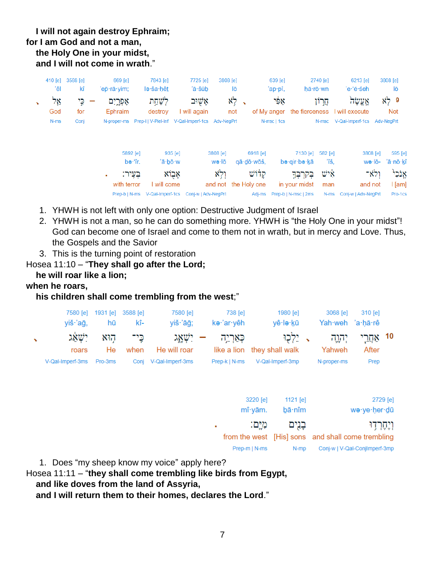# **I will not again destroy Ephraim; for I am God and not a man, the Holy One in your midst, and I will not come in wrath**."

| 410 [e] | 3588 [e] | 669 [e]              | 7843 [e]                                        |                            | 7725 [e]                             | 3808 [e]                 |              |                                  | 639 [e]     |                                         | 2740 [e]                | 6213 [e]                                  |                | 3808 [e]                       |  |
|---------|----------|----------------------|-------------------------------------------------|----------------------------|--------------------------------------|--------------------------|--------------|----------------------------------|-------------|-----------------------------------------|-------------------------|-------------------------------------------|----------------|--------------------------------|--|
| 'êl     | kî       | 'ep̃∙rā∙yim;         | le ša hêt                                       |                            | 'ā∙šūb                               |                          | lō           |                                  | 'ap∙pî,     |                                         | hă rō wn                | 'e∙'ĕ∙śeh                                 |                | lō                             |  |
| אֱל     | כֵּי     | אָפְרֱיִם            | לְשַׁחֵת                                        |                            | אַשוּב                               |                          | x,<br>$\sim$ |                                  | אַפֿי       |                                         | חֲרוֹן                  | אֲעֱשָׂה                                  |                | $\aleph_7^5$ 9                 |  |
| God     | for      | Ephraim              | destroy                                         |                            | I will again                         |                          | not          |                                  |             |                                         |                         | of My anger the fierceness I will execute |                | <b>Not</b>                     |  |
| N-ms    | Conj     | N-proper-ms          | Prep-I   V-Piel-Inf V-Qal-Imperf-1cs Adv-NegPrt |                            |                                      |                          |              |                                  | N-msc   1cs |                                         | N-msc                   | V-Qal-Imperf-1cs                          |                | Adv-NegPrt                     |  |
|         |          | 5892 [e]<br>בִּעֵיר: | be fr.                                          | 935 [e]<br>'ā·bō·w<br>אבוא |                                      | 3808 [e]<br>wə∙lō<br>ולא |              | 6918 [e]<br>qā·dō·wōš,<br>קלוֹשׁ |             | 7130 [e]<br>bə·qir·bə·kā<br>בִּקְרִבְדָ | $582$ [e]<br>Ϊš.<br>איש | 3808 [e]                                  | wə·lō-<br>ולא־ | 595 [e]<br>'ā∙nō∙kî<br>אֲנֹכִי |  |
|         |          | with terror          |                                                 | I will come                |                                      |                          |              | and not the Holy one             |             | in your midst                           | man                     | and not                                   |                | $ $ [am]                       |  |
|         |          | Prep-b   N-ms        |                                                 |                            | V-Qal-Imperf-1cs Coni-w   Adv-NeaPrt |                          |              | Adj-ms                           |             | Prep-b   N-msc   2ms                    | $N-ms$                  | Coni-w   Adv-NeaPrt                       |                | Pro-1cs                        |  |
|         |          |                      |                                                 |                            |                                      |                          |              |                                  |             |                                         |                         |                                           |                |                                |  |

- 1. YHWH is not left with only one option: Destructive Judgment of Israel
- 2. YHWH is not a man, so he can do something more. YHWH is "the Holy One in your midst"! God can become one of Israel and come to them not in wrath, but in mercy and Love. Thus, the Gospels and the Savior
- 3. This is the turning point of restoration
- Hosea 11:10 "**They shall go after the Lord;**

# **he will roar like a lion;**

# **when he roars,**

# **his children shall come trembling from the west**;"

|        | 7580 [e]<br>viš∙'aā,     | 1931 [e] 3588 [e]<br>hū    | kî-  | 7580 [e]<br>yiš∙'āğ;  | 738 [e]<br>kə·'ar·yêh | 1980 [e]<br>vê∙lə∙kū                                                    | 3068 [e]<br>Yah weh 'a hă rê | 310 [e] |  |
|--------|--------------------------|----------------------------|------|-----------------------|-----------------------|-------------------------------------------------------------------------|------------------------------|---------|--|
| $\sim$ | roars                    | כֵּי־ הוּא יִשָׁאֹג<br>He. | when | He will roar          |                       | 10 אַחֲרֵי יְהְוֶה 、 יֵלְכְוּ – יִשְׁאֲג<br>like a lion they shall walk | Yahweh                       | After   |  |
|        | V-Qal-Imperf-3ms Pro-3ms |                            |      | Coni V-Qal-Imperf-3ms | Prep-k   N-ms         | V-Qal-Imperf-3mp                                                        | N-proper-ms                  | Prep    |  |

| 3220 [e]<br>mî yām. | 1121 $[e]$<br>bā·nîm | 2729 [e]<br>wa-ye-her-dū                          |
|---------------------|----------------------|---------------------------------------------------|
| מיִם:               | בְגִים               | ויֵחֶרְדִוּ                                       |
|                     |                      | from the west [His] sons and shall come trembling |
| Prep-m   N-ms       | N-mp                 | Conj-w   V-Qal-ConjImperf-3mp                     |

1. Does "my sheep know my voice" apply here?

Hosea 11:11 – "**they shall come trembling like birds from Egypt,**

 **and like doves from the land of Assyria,**

 **and I will return them to their homes, declares the Lord**."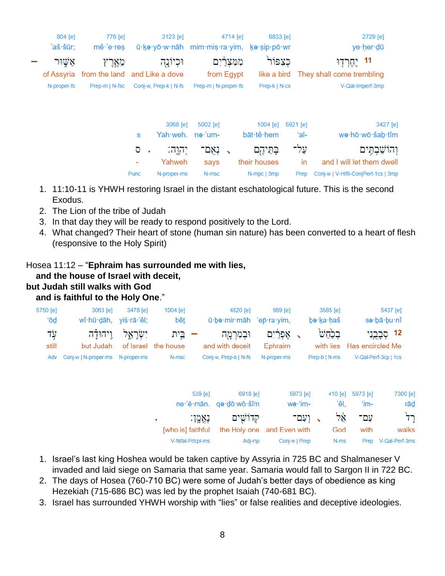| 2729 [e]                            |          | 6833 [e]      | 4714 [e]                 |                      | 3123 [e]                                   | 776 [e]                                  | 804 [e]     |  |
|-------------------------------------|----------|---------------|--------------------------|----------------------|--------------------------------------------|------------------------------------------|-------------|--|
| ye·her·dū                           |          |               |                          |                      | ū·ke·yō·w·nāh mim·mis·ra·yim, ke·sip·pō·wr | $m\hat{e}$ 'e res                        | 'aš·šūr;    |  |
| 11                                  |          | כצפור         | מִמְצִרַיִם              |                      | וּכְיוֹנֶה                                 | מאַרץ                                    | אשור        |  |
| They shall come trembling           |          | like a bird   | from Egypt               |                      |                                            | of Assyria from the land and Like a dove |             |  |
| V-Qal-Imperf-3mp                    |          | Prep-k   N-cs |                          | Prep-m   N-proper-fs | Conj-w. Prep-k   N-fs                      | Prep-m   N-fsc                           | N-proper-fs |  |
|                                     |          |               |                          |                      |                                            |                                          |             |  |
| 3427 [e]                            | 5921 [e] | 1004 [e]      |                          | 5002 [e]             | 3068 [e]                                   |                                          |             |  |
| we·hō·wō·šab·tîm                    | ʻal-     | bāt·tê·hem    |                          |                      | Yah weh. ne 'um-                           | s                                        |             |  |
| והוֹשַׁבְתֵּים                      | עַל־     | בַּהֵיהֶם     | $\overline{\phantom{0}}$ | נאִם־                | יִהוֶה:<br>٠                               | ס                                        |             |  |
| and I will let them dwell           | in       | their houses  |                          | says                 | Yahweh                                     |                                          |             |  |
| Coni-w   V-Hifil-ConiPerf-1cs   3mp | Prep     | N-mpc   3mp   |                          | N-msc                | N-proper-ms                                | <b>Punc</b>                              |             |  |

- 1. 11:10-11 is YHWH restoring Israel in the distant eschatological future. This is the second Exodus.
- 2. The Lion of the tribe of Judah
- 3. In that day they will be ready to respond positively to the Lord.
- 4. What changed? Their heart of stone (human sin nature) has been converted to a heart of flesh (responsive to the Holy Spirit)

# Hosea 11:12 – "**Ephraim has surrounded me with lies,**

# **and the house of Israel with deceit,**

#### **but Judah still walks with God**

# **and is faithful to the Holy One**."

| 5750 [e]<br>'ō₫ | 3063 [e]<br>wî·hū·dāh, yiś·rā·'êl; | 3478 [e] | 1004 [e]<br><u>bêt</u>      |           | 4820 [e]<br>ū be mir māh 'ep ra yim,    | 669 [e]               |                     | be·ka·haš     | $3585$ [e]        | sə·bā·bu·nî                | 5437 [e]        |
|-----------------|------------------------------------|----------|-----------------------------|-----------|-----------------------------------------|-----------------------|---------------------|---------------|-------------------|----------------------------|-----------------|
| עָד<br>still    | וֵיהוּדַ֫ה<br>but Judah            | ישראל:   | בֵית<br>of Israel the house |           | וּבְמִרְמֻה<br>and with deceit          | אַפְרַ֫יִם<br>Ephraim |                     |               | בְּכֹחֹשׁ         | with lies Has encircled Me | 12 קְבָרֱנִי    |
| Adv             | Conj-w   N-proper-ms  N-proper-ms  |          | N-msc                       |           | Conj-w, Prep-b   N-fs                   | N-proper-ms           |                     | Prep-b   N-ms |                   | V-Qal-Perf-3cp   1cs       |                 |
|                 |                                    |          |                             | $539$ [e] | 6918 [e]<br>ne 'ĕ mān. qo dō wō šîm     |                       | 5973 [e]<br>wə·'im- |               | $410$ [e]<br>'êl, | 5973 [e]<br>'im-           | 7300 [e]<br>rād |
|                 |                                    |          | ٠<br>[who is] faithful      | נאמו:     | קדוֹשִׁים<br>the Holy one and Even with |                       | - ועם־              |               | ኳጶ<br>God         | עם־<br>with                | ּרְד<br>walks   |

1. Israel's last king Hoshea would be taken captive by Assyria in 725 BC and Shalmaneser V invaded and laid siege on Samaria that same year. Samaria would fall to Sargon II in 722 BC.

Adj-mp

Conj-w | Prep

 $N-ms$ 

Prep V-Qal-Perf-3ms

2. The days of Hosea (760-710 BC) were some of Judah's better days of obedience as king Hezekiah (715-686 BC) was led by the prophet Isaiah (740-681 BC).

V-Nifal-Prtcpl-ms

3. Israel has surrounded YHWH worship with "lies" or false realities and deceptive ideologies.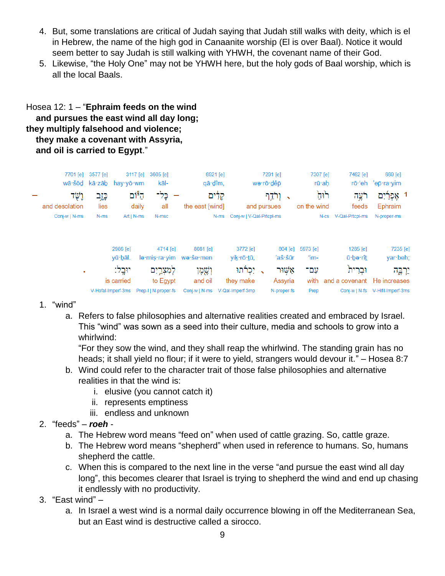- 4. But, some translations are critical of Judah saying that Judah still walks with deity, which is el in Hebrew, the name of the high god in Canaanite worship (El is over Baal). Notice it would seem better to say Judah is still walking with YHWH, the covenant name of their God.
- 5. Likewise, "the Holy One" may not be YHWH here, but the holy gods of Baal worship, which is all the local Baals.

# Hosea 12: 1 – "**Ephraim feeds on the wind and pursues the east wind all day long; they multiply falsehood and violence; they make a covenant with Assyria, and oil is carried to Egypt**."

| 7701 [e]<br>wā·šōd kā·zāb | 3577 [e]       | 3117 [e]<br>hay∙yō∙wm | 3605 [e]<br>kāl-                                                   | 6921 [e]<br>qā·dîm,                               |                                 | 7291 [e]<br>wə∙rō∙dêp |                                | 7307 [e]<br>rū∙ah   | 7462 [e]                               | 669 [e]<br>rō·'eh 'ep·ra·yim                |
|---------------------------|----------------|-----------------------|--------------------------------------------------------------------|---------------------------------------------------|---------------------------------|-----------------------|--------------------------------|---------------------|----------------------------------------|---------------------------------------------|
| יָשׂד<br>and desolation   | כָּזָב<br>lies | ה"ום<br>daily         | כֵּל־<br>all                                                       | קַלִּים<br>the east [wind]                        |                                 | ורׂדֵף<br>and pursues | $\overline{\phantom{a}}$       | ᠾᡃ<br>on the wind   | רֹעֵה<br>feeds                         | 1 אֵפְרַיִם<br>Ephraim                      |
| Conj-w   N-ms             | N-ms           | $Art   N-ms$          | N-msc                                                              | N-ms                                              | Conj-w   V-Qal-Prtcpl-ms        |                       |                                |                     | N-cs V-Qal-Prtcpl-ms                   | N-proper-ms                                 |
|                           |                | 2986 [e]<br>yū bāl.   | 4714 [e]                                                           | 8081 [e]<br>$leq$ mis ra vim we semen             | 3772 [e]<br>yik∙rō∙ <u>t</u> ū, |                       | 804 [e]<br>'aš·šūr             | 5973 [e]<br>'im-    | 1285 [e]<br>ū∙bə∙rît                   | 7235 [e]<br>yar beh;                        |
| п.                        |                | יוּבֵל:<br>is carried | לְמִצְרֵיִם<br>to Egypt<br>V-Hofal-Imperf-3ms Prep-I   N-proper-fs | ושמו<br>and oil<br>Conj-w   N-ms V-Qal-Imperf-3mp | ַ, יִכְרֹתוּ<br>they make       |                       | אשור<br>Assyria<br>N-proper-fs | עם־<br>with<br>Prep | וּבִרית<br>and a covenant He increases | יַרְבֱה<br>Conj-w   N-fs V-Hifil-Imperf-3ms |

- 1. "wind"
	- a. Refers to false philosophies and alternative realities created and embraced by Israel. This "wind" was sown as a seed into their culture, media and schools to grow into a whirlwind:

"For they sow the wind, and they shall reap the whirlwind. The standing grain has no heads; it shall yield no flour; if it were to yield, strangers would devour it." – Hosea 8:7

- b. Wind could refer to the character trait of those false philosophies and alternative realities in that the wind is:
	- i. elusive (you cannot catch it)
	- ii. represents emptiness
	- iii. endless and unknown
- 2. "feeds" *roeh*
	- a. The Hebrew word means "feed on" when used of cattle grazing. So, cattle graze.
	- b. The Hebrew word means "shepherd" when used in reference to humans. So, humans shepherd the cattle.
	- c. When this is compared to the next line in the verse "and pursue the east wind all day long", this becomes clearer that Israel is trying to shepherd the wind and end up chasing it endlessly with no productivity.
- 3. "East wind"
	- a. In Israel a west wind is a normal daily occurrence blowing in off the Mediterranean Sea, but an East wind is destructive called a sirocco.